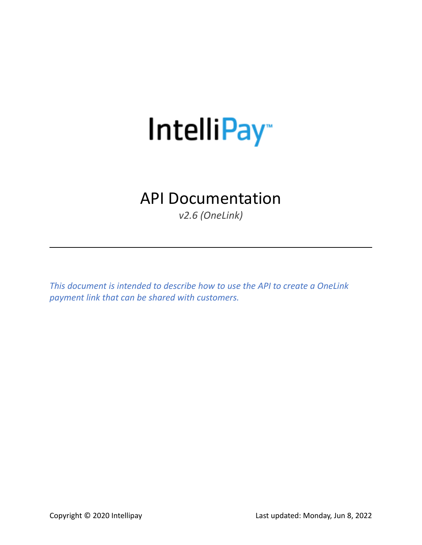# IntelliPay<sup>®</sup>

# API Documentation

*v2.6 (OneLink)*

*This document is intended to describe how to use the API to create a OneLink payment link that can be shared with customers.*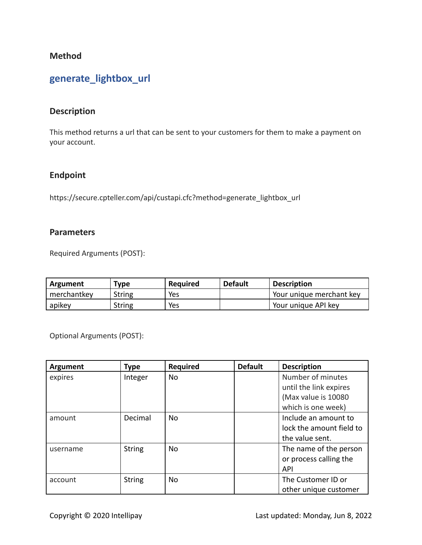#### **Method**

## **generate\_lightbox\_url**

#### **Description**

This method returns a url that can be sent to your customers for them to make a payment on your account.

#### **Endpoint**

https://secure.cpteller.com/api/custapi.cfc?method=generate\_lightbox\_url

#### **Parameters**

Required Arguments (POST):

| Argument    | Type          | <b>Required</b> | <b>Default</b> | <b>Description</b>       |
|-------------|---------------|-----------------|----------------|--------------------------|
| merchantkey | <b>String</b> | Yes             |                | Your unique merchant key |
| apikey      | <b>String</b> | Yes             |                | Your unique API key      |

Optional Arguments (POST):

| Argument | <b>Type</b>   | <b>Required</b> | <b>Default</b> | <b>Description</b>       |
|----------|---------------|-----------------|----------------|--------------------------|
| expires  | Integer       | No.             |                | Number of minutes        |
|          |               |                 |                | until the link expires   |
|          |               |                 |                | (Max value is 10080)     |
|          |               |                 |                | which is one week)       |
| amount   | Decimal       | No              |                | Include an amount to     |
|          |               |                 |                | lock the amount field to |
|          |               |                 |                | the value sent.          |
| username | <b>String</b> | No              |                | The name of the person   |
|          |               |                 |                | or process calling the   |
|          |               |                 |                | <b>API</b>               |
| account  | <b>String</b> | No              |                | The Customer ID or       |
|          |               |                 |                | other unique customer    |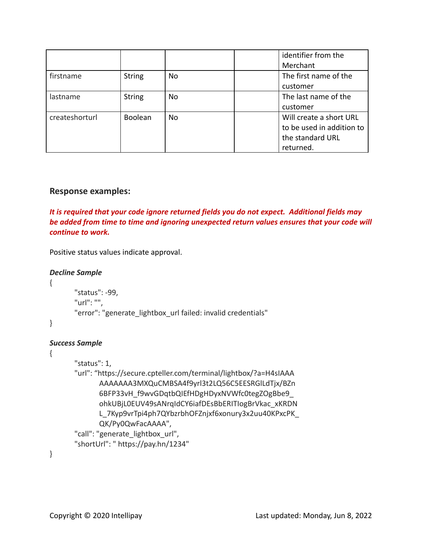|                |                |     | identifier from the       |
|----------------|----------------|-----|---------------------------|
|                |                |     | Merchant                  |
| firstname      | <b>String</b>  | No  | The first name of the     |
|                |                |     | customer                  |
| lastname       | <b>String</b>  | No. | The last name of the      |
|                |                |     | customer                  |
| createshorturl | <b>Boolean</b> | No. | Will create a short URL   |
|                |                |     | to be used in addition to |
|                |                |     | the standard URL          |
|                |                |     | returned.                 |

#### **Response examples:**

*It is required that your code ignore returned fields you do not expect. Additional fields may be added from time to time and ignoring unexpected return values ensures that your code will continue to work.*

Positive status values indicate approval.

```
Decline Sample
{
```
"status": -99, "url": "", "error": "generate lightbox url failed: invalid credentials"

}

#### *Success Sample*

#### {

"status": 1, "url": "https://secure.cpteller.com/terminal/lightbox/?a=H4sIAAA AAAAAAA3MXQuCMBSA4f9yrl3t2LQ56C5EESRGlLdTjx/BZn 6BFP33vH\_f9wvGDqtbQIEfHDgHDyxNVWfc0tegZOgBbe9\_ ohkUBjL0EUV49sANrqIdCY6iafDEsBbERITIogBrVkac\_xKRDN L\_7Kyp9vrTpi4ph7QYbzrbhOFZnjxf6xonury3x2uu40KPxcPK\_ QK/Py0QwFacAAAA", "call": "generate\_lightbox\_url", "shortUrl": " https://pay.hn/1234"

}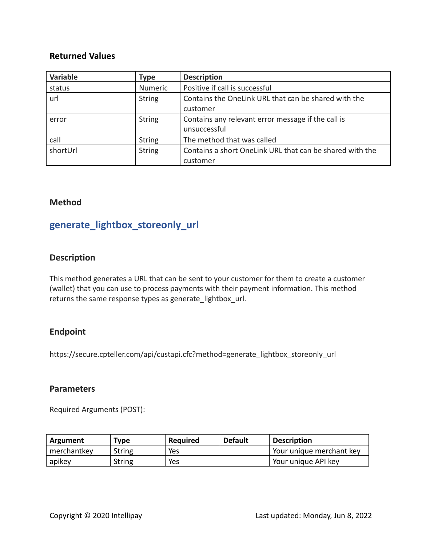#### **Returned Values**

| <b>Variable</b> | Type          | <b>Description</b>                                       |
|-----------------|---------------|----------------------------------------------------------|
| status          | Numeric       | Positive if call is successful                           |
| url             | <b>String</b> | Contains the OneLink URL that can be shared with the     |
|                 |               | customer                                                 |
| error           | <b>String</b> | Contains any relevant error message if the call is       |
|                 |               | unsuccessful                                             |
| call            | <b>String</b> | The method that was called                               |
| shortUrl        | <b>String</b> | Contains a short OneLink URL that can be shared with the |
|                 |               | customer                                                 |

#### **Method**

## **generate\_lightbox\_storeonly\_url**

#### **Description**

This method generates a URL that can be sent to your customer for them to create a customer (wallet) that you can use to process payments with their payment information. This method returns the same response types as generate\_lightbox\_url.

#### **Endpoint**

https://secure.cpteller.com/api/custapi.cfc?method=generate\_lightbox\_storeonly\_url

#### **Parameters**

Required Arguments (POST):

| Argument    | Type   | <b>Required</b> | <b>Default</b> | <b>Description</b>       |
|-------------|--------|-----------------|----------------|--------------------------|
| merchantkey | String | Yes             |                | Your unique merchant key |
| apikey      | String | Yes             |                | Your unique API key      |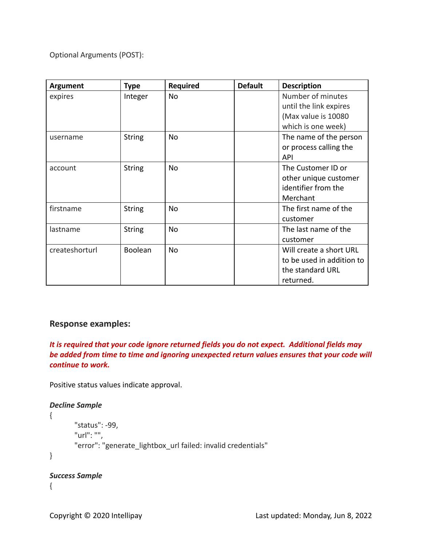Optional Arguments (POST):

| <b>Argument</b> | <b>Type</b>    | <b>Required</b> | <b>Default</b> | <b>Description</b>        |
|-----------------|----------------|-----------------|----------------|---------------------------|
| expires         | Integer        | No              |                | Number of minutes         |
|                 |                |                 |                | until the link expires    |
|                 |                |                 |                | (Max value is 10080       |
|                 |                |                 |                | which is one week)        |
| username        | <b>String</b>  | No              |                | The name of the person    |
|                 |                |                 |                | or process calling the    |
|                 |                |                 |                | <b>API</b>                |
| account         | <b>String</b>  | No              |                | The Customer ID or        |
|                 |                |                 |                | other unique customer     |
|                 |                |                 |                | identifier from the       |
|                 |                |                 |                | Merchant                  |
| firstname       | <b>String</b>  | No              |                | The first name of the     |
|                 |                |                 |                | customer                  |
| lastname        | <b>String</b>  | No              |                | The last name of the      |
|                 |                |                 |                | customer                  |
| createshorturl  | <b>Boolean</b> | No              |                | Will create a short URL   |
|                 |                |                 |                | to be used in addition to |
|                 |                |                 |                | the standard URL          |
|                 |                |                 |                | returned.                 |

#### **Response examples:**

*It is required that your code ignore returned fields you do not expect. Additional fields may be added from time to time and ignoring unexpected return values ensures that your code will continue to work.*

Positive status values indicate approval.

```
Decline Sample
{
       "status": -99,
       "url": "",
       "error": "generate_lightbox_url failed: invalid credentials"
}
```

```
Success Sample
```

```
{
```